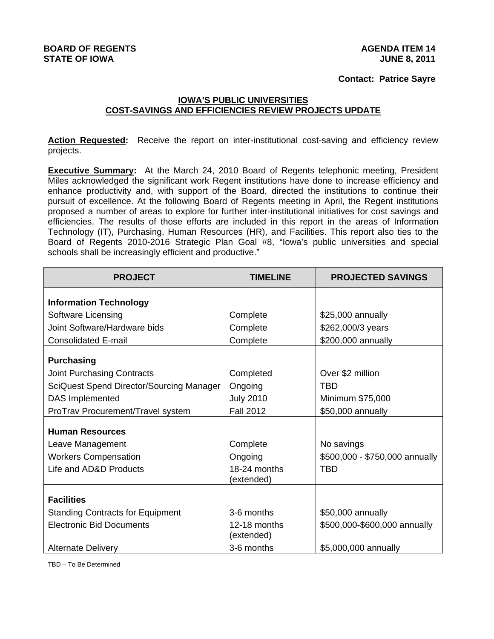### **Contact: Patrice Sayre**

## **IOWA'S PUBLIC UNIVERSITIES COST-SAVINGS AND EFFICIENCIES REVIEW PROJECTS UPDATE**

Action Requested: Receive the report on inter-institutional cost-saving and efficiency review projects.

**Executive Summary:** At the March 24, 2010 Board of Regents telephonic meeting, President Miles acknowledged the significant work Regent institutions have done to increase efficiency and enhance productivity and, with support of the Board, directed the institutions to continue their pursuit of excellence. At the following Board of Regents meeting in April, the Regent institutions proposed a number of areas to explore for further inter-institutional initiatives for cost savings and efficiencies. The results of those efforts are included in this report in the areas of Information Technology (IT), Purchasing, Human Resources (HR), and Facilities. This report also ties to the Board of Regents 2010-2016 Strategic Plan Goal #8, "Iowa's public universities and special schools shall be increasingly efficient and productive."

| <b>PROJECT</b>                           | <b>TIMELINE</b>            | <b>PROJECTED SAVINGS</b>       |
|------------------------------------------|----------------------------|--------------------------------|
| <b>Information Technology</b>            |                            |                                |
| Software Licensing                       | Complete                   | \$25,000 annually              |
| Joint Software/Hardware bids             | Complete                   | \$262,000/3 years              |
| <b>Consolidated E-mail</b>               | Complete                   | \$200,000 annually             |
| <b>Purchasing</b>                        |                            |                                |
| <b>Joint Purchasing Contracts</b>        | Completed                  | Over \$2 million               |
| SciQuest Spend Director/Sourcing Manager | Ongoing                    | TBD                            |
| <b>DAS</b> Implemented                   | <b>July 2010</b>           | Minimum \$75,000               |
| ProTrav Procurement/Travel system        | <b>Fall 2012</b>           | \$50,000 annually              |
| <b>Human Resources</b>                   |                            |                                |
| Leave Management                         | Complete                   | No savings                     |
| <b>Workers Compensation</b>              | Ongoing                    | \$500,000 - \$750,000 annually |
| Life and AD&D Products                   | 18-24 months               | TBD                            |
|                                          | (extended)                 |                                |
| <b>Facilities</b>                        |                            |                                |
| <b>Standing Contracts for Equipment</b>  | 3-6 months                 | \$50,000 annually              |
| <b>Electronic Bid Documents</b>          | 12-18 months<br>(extended) | \$500,000-\$600,000 annually   |
| <b>Alternate Delivery</b>                | 3-6 months                 | \$5,000,000 annually           |

TBD – To Be Determined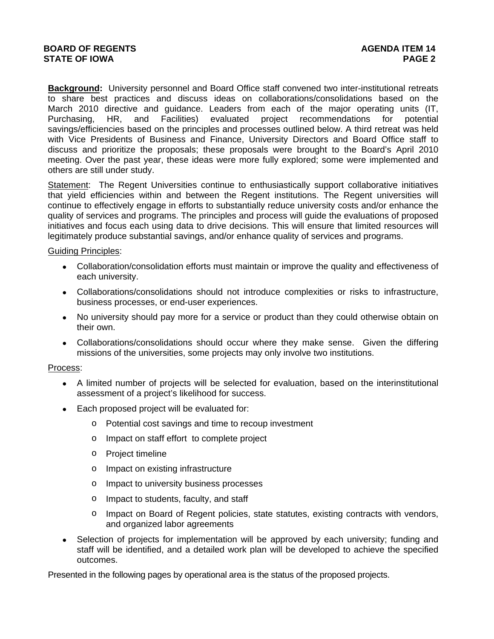**Background:** University personnel and Board Office staff convened two inter-institutional retreats to share best practices and discuss ideas on collaborations/consolidations based on the March 2010 directive and guidance. Leaders from each of the major operating units (IT, Purchasing, HR, and Facilities) evaluated project recommendations for potential savings/efficiencies based on the principles and processes outlined below. A third retreat was held with Vice Presidents of Business and Finance, University Directors and Board Office staff to discuss and prioritize the proposals; these proposals were brought to the Board's April 2010 meeting. Over the past year, these ideas were more fully explored; some were implemented and others are still under study.

Statement: The Regent Universities continue to enthusiastically support collaborative initiatives that yield efficiencies within and between the Regent institutions. The Regent universities will continue to effectively engage in efforts to substantially reduce university costs and/or enhance the quality of services and programs. The principles and process will guide the evaluations of proposed initiatives and focus each using data to drive decisions. This will ensure that limited resources will legitimately produce substantial savings, and/or enhance quality of services and programs.

### Guiding Principles:

- Collaboration/consolidation efforts must maintain or improve the quality and effectiveness of each university.
- Collaborations/consolidations should not introduce complexities or risks to infrastructure, business processes, or end-user experiences.
- No university should pay more for a service or product than they could otherwise obtain on their own.
- Collaborations/consolidations should occur where they make sense. Given the differing missions of the universities, some projects may only involve two institutions.

#### Process:

- A limited number of projects will be selected for evaluation, based on the interinstitutional assessment of a project's likelihood for success.
- Each proposed project will be evaluated for:
	- o Potential cost savings and time to recoup investment
	- o Impact on staff effort to complete project
	- o Project timeline
	- o Impact on existing infrastructure
	- o Impact to university business processes
	- o Impact to students, faculty, and staff
	- o Impact on Board of Regent policies, state statutes, existing contracts with vendors, and organized labor agreements
- Selection of projects for implementation will be approved by each university; funding and staff will be identified, and a detailed work plan will be developed to achieve the specified outcomes.

Presented in the following pages by operational area is the status of the proposed projects.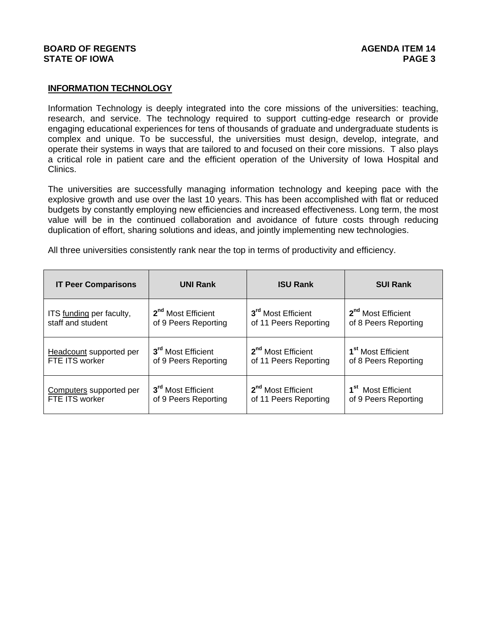# **INFORMATION TECHNOLOGY**

Information Technology is deeply integrated into the core missions of the universities: teaching, research, and service. The technology required to support cutting-edge research or provide engaging educational experiences for tens of thousands of graduate and undergraduate students is complex and unique. To be successful, the universities must design, develop, integrate, and operate their systems in ways that are tailored to and focused on their core missions. T also plays a critical role in patient care and the efficient operation of the University of Iowa Hospital and Clinics.

The universities are successfully managing information technology and keeping pace with the explosive growth and use over the last 10 years. This has been accomplished with flat or reduced budgets by constantly employing new efficiencies and increased effectiveness. Long term, the most value will be in the continued collaboration and avoidance of future costs through reducing duplication of effort, sharing solutions and ideas, and jointly implementing new technologies.

All three universities consistently rank near the top in terms of productivity and efficiency.

| <b>IT Peer Comparisons</b>     | <b>UNI Rank</b>                | <b>ISU Rank</b>                | <b>SUI Rank</b>                |
|--------------------------------|--------------------------------|--------------------------------|--------------------------------|
| ITS funding per faculty,       | 2 <sup>nd</sup> Most Efficient | 3 <sup>rd</sup> Most Efficient | 2 <sup>nd</sup> Most Efficient |
| staff and student              | of 9 Peers Reporting           | of 11 Peers Reporting          | of 8 Peers Reporting           |
| <b>Headcount</b> supported per | 3 <sup>rd</sup> Most Efficient | 2 <sup>nd</sup> Most Efficient | 1 <sup>st</sup> Most Efficient |
| FTE ITS worker                 | of 9 Peers Reporting           | of 11 Peers Reporting          | of 8 Peers Reporting           |
| Computers supported per        | 3 <sup>rd</sup> Most Efficient | 2 <sup>nd</sup> Most Efficient | 1 <sup>st</sup> Most Efficient |
| FTE ITS worker                 | of 9 Peers Reporting           | of 11 Peers Reporting          | of 9 Peers Reporting           |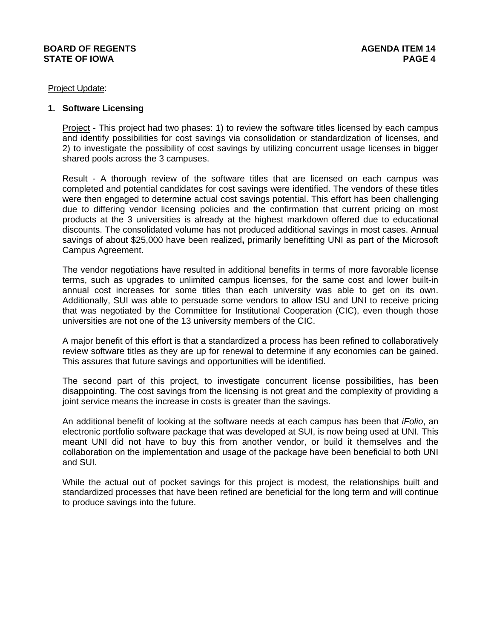#### Project Update:

### **1. Software Licensing**

Project - This project had two phases: 1) to review the software titles licensed by each campus and identify possibilities for cost savings via consolidation or standardization of licenses, and 2) to investigate the possibility of cost savings by utilizing concurrent usage licenses in bigger shared pools across the 3 campuses.

Result - A thorough review of the software titles that are licensed on each campus was completed and potential candidates for cost savings were identified. The vendors of these titles were then engaged to determine actual cost savings potential. This effort has been challenging due to differing vendor licensing policies and the confirmation that current pricing on most products at the 3 universities is already at the highest markdown offered due to educational discounts. The consolidated volume has not produced additional savings in most cases. Annual savings of about \$25,000 have been realized**,** primarily benefitting UNI as part of the Microsoft Campus Agreement.

The vendor negotiations have resulted in additional benefits in terms of more favorable license terms, such as upgrades to unlimited campus licenses, for the same cost and lower built-in annual cost increases for some titles than each university was able to get on its own. Additionally, SUI was able to persuade some vendors to allow ISU and UNI to receive pricing that was negotiated by the Committee for Institutional Cooperation (CIC), even though those universities are not one of the 13 university members of the CIC.

A major benefit of this effort is that a standardized a process has been refined to collaboratively review software titles as they are up for renewal to determine if any economies can be gained. This assures that future savings and opportunities will be identified.

The second part of this project, to investigate concurrent license possibilities, has been disappointing. The cost savings from the licensing is not great and the complexity of providing a joint service means the increase in costs is greater than the savings.

An additional benefit of looking at the software needs at each campus has been that *iFolio*, an electronic portfolio software package that was developed at SUI, is now being used at UNI. This meant UNI did not have to buy this from another vendor, or build it themselves and the collaboration on the implementation and usage of the package have been beneficial to both UNI and SUI.

While the actual out of pocket savings for this project is modest, the relationships built and standardized processes that have been refined are beneficial for the long term and will continue to produce savings into the future.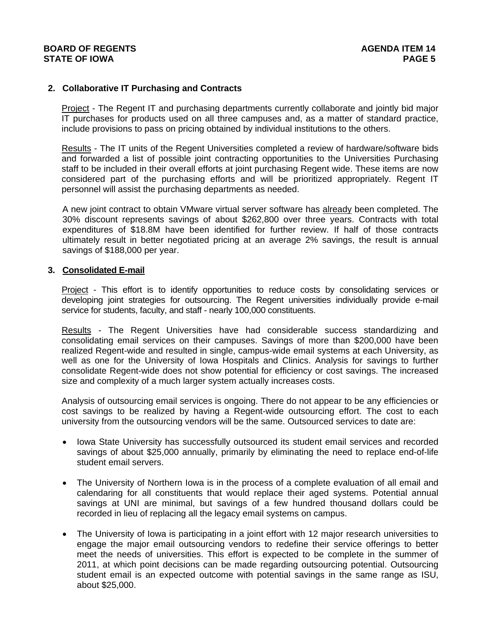# **2. Collaborative IT Purchasing and Contracts**

Project - The Regent IT and purchasing departments currently collaborate and jointly bid major IT purchases for products used on all three campuses and, as a matter of standard practice, include provisions to pass on pricing obtained by individual institutions to the others.

Results - The IT units of the Regent Universities completed a review of hardware/software bids and forwarded a list of possible joint contracting opportunities to the Universities Purchasing staff to be included in their overall efforts at joint purchasing Regent wide. These items are now considered part of the purchasing efforts and will be prioritized appropriately. Regent IT personnel will assist the purchasing departments as needed.

A new joint contract to obtain VMware virtual server software has already been completed. The 30% discount represents savings of about \$262,800 over three years. Contracts with total expenditures of \$18.8M have been identified for further review. If half of those contracts ultimately result in better negotiated pricing at an average 2% savings, the result is annual savings of \$188,000 per year.

### **3. Consolidated E-mail**

Project - This effort is to identify opportunities to reduce costs by consolidating services or developing joint strategies for outsourcing. The Regent universities individually provide e-mail service for students, faculty, and staff - nearly 100,000 constituents.

Results - The Regent Universities have had considerable success standardizing and consolidating email services on their campuses. Savings of more than \$200,000 have been realized Regent-wide and resulted in single, campus-wide email systems at each University, as well as one for the University of Iowa Hospitals and Clinics. Analysis for savings to further consolidate Regent-wide does not show potential for efficiency or cost savings. The increased size and complexity of a much larger system actually increases costs.

Analysis of outsourcing email services is ongoing. There do not appear to be any efficiencies or cost savings to be realized by having a Regent-wide outsourcing effort. The cost to each university from the outsourcing vendors will be the same. Outsourced services to date are:

- Iowa State University has successfully outsourced its student email services and recorded savings of about \$25,000 annually, primarily by eliminating the need to replace end-of-life student email servers.
- The University of Northern Iowa is in the process of a complete evaluation of all email and calendaring for all constituents that would replace their aged systems. Potential annual savings at UNI are minimal, but savings of a few hundred thousand dollars could be recorded in lieu of replacing all the legacy email systems on campus.
- The University of Iowa is participating in a joint effort with 12 major research universities to engage the major email outsourcing vendors to redefine their service offerings to better meet the needs of universities. This effort is expected to be complete in the summer of 2011, at which point decisions can be made regarding outsourcing potential. Outsourcing student email is an expected outcome with potential savings in the same range as ISU, about \$25,000.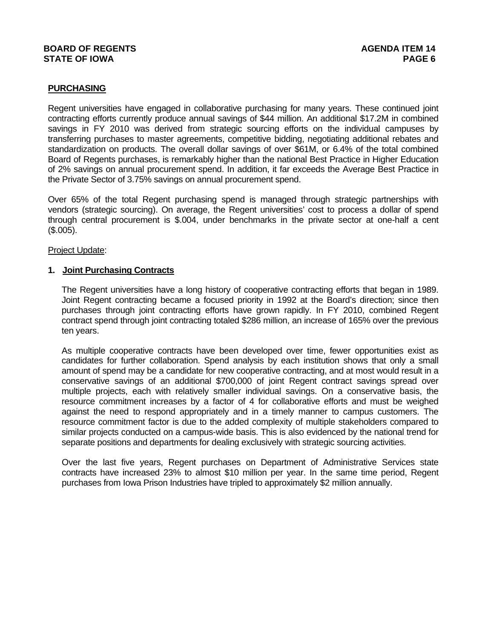# **PURCHASING**

Regent universities have engaged in collaborative purchasing for many years. These continued joint contracting efforts currently produce annual savings of \$44 million. An additional \$17.2M in combined savings in FY 2010 was derived from strategic sourcing efforts on the individual campuses by transferring purchases to master agreements, competitive bidding, negotiating additional rebates and standardization on products. The overall dollar savings of over \$61M, or 6.4% of the total combined Board of Regents purchases, is remarkably higher than the national Best Practice in Higher Education of 2% savings on annual procurement spend. In addition, it far exceeds the Average Best Practice in the Private Sector of 3.75% savings on annual procurement spend.

Over 65% of the total Regent purchasing spend is managed through strategic partnerships with vendors (strategic sourcing). On average, the Regent universities' cost to process a dollar of spend through central procurement is \$.004, under benchmarks in the private sector at one-half a cent (\$.005).

#### Project Update:

#### **1. Joint Purchasing Contracts**

The Regent universities have a long history of cooperative contracting efforts that began in 1989. Joint Regent contracting became a focused priority in 1992 at the Board's direction; since then purchases through joint contracting efforts have grown rapidly. In FY 2010, combined Regent contract spend through joint contracting totaled \$286 million, an increase of 165% over the previous ten years.

As multiple cooperative contracts have been developed over time, fewer opportunities exist as candidates for further collaboration. Spend analysis by each institution shows that only a small amount of spend may be a candidate for new cooperative contracting, and at most would result in a conservative savings of an additional \$700,000 of joint Regent contract savings spread over multiple projects, each with relatively smaller individual savings. On a conservative basis, the resource commitment increases by a factor of 4 for collaborative efforts and must be weighed against the need to respond appropriately and in a timely manner to campus customers. The resource commitment factor is due to the added complexity of multiple stakeholders compared to similar projects conducted on a campus-wide basis. This is also evidenced by the national trend for separate positions and departments for dealing exclusively with strategic sourcing activities.

Over the last five years, Regent purchases on Department of Administrative Services state contracts have increased 23% to almost \$10 million per year. In the same time period, Regent purchases from Iowa Prison Industries have tripled to approximately \$2 million annually.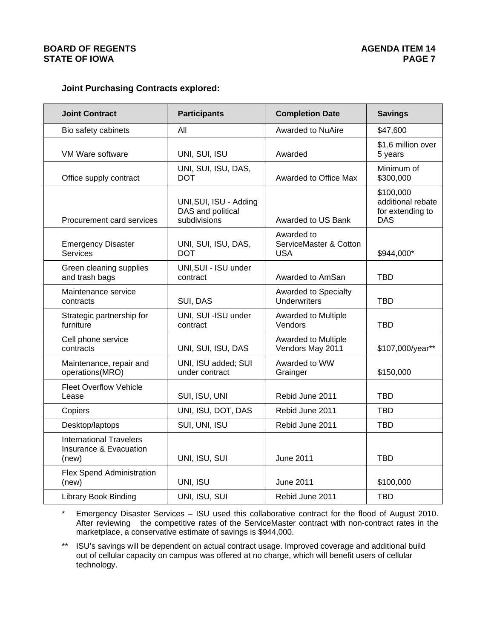# **Joint Purchasing Contracts explored:**

| <b>Joint Contract</b>                                             | <b>Participants</b>                                         | <b>Completion Date</b>                             | <b>Savings</b>                                                   |
|-------------------------------------------------------------------|-------------------------------------------------------------|----------------------------------------------------|------------------------------------------------------------------|
| Bio safety cabinets                                               | All                                                         | <b>Awarded to NuAire</b>                           | \$47,600                                                         |
| VM Ware software                                                  | UNI, SUI, ISU                                               | Awarded                                            | \$1.6 million over<br>5 years                                    |
| Office supply contract                                            | UNI, SUI, ISU, DAS,<br><b>DOT</b>                           | Awarded to Office Max                              | Minimum of<br>\$300,000                                          |
| Procurement card services                                         | UNI, SUI, ISU - Adding<br>DAS and political<br>subdivisions | Awarded to US Bank                                 | \$100,000<br>additional rebate<br>for extending to<br><b>DAS</b> |
| <b>Emergency Disaster</b><br><b>Services</b>                      | UNI, SUI, ISU, DAS,<br><b>DOT</b>                           | Awarded to<br>ServiceMaster & Cotton<br><b>USA</b> | \$944,000*                                                       |
| Green cleaning supplies<br>and trash bags                         | UNI, SUI - ISU under<br>contract                            | Awarded to AmSan                                   | <b>TBD</b>                                                       |
| Maintenance service<br>contracts                                  | SUI, DAS                                                    | Awarded to Specialty<br><b>Underwriters</b>        | TBD                                                              |
| Strategic partnership for<br>furniture                            | UNI, SUI -ISU under<br>contract                             | Awarded to Multiple<br>Vendors                     | TBD                                                              |
| Cell phone service<br>contracts                                   | UNI, SUI, ISU, DAS                                          | Awarded to Multiple<br>Vendors May 2011            | \$107,000/year**                                                 |
| Maintenance, repair and<br>operations(MRO)                        | UNI, ISU added; SUI<br>under contract                       | Awarded to WW<br>Grainger                          | \$150,000                                                        |
| <b>Fleet Overflow Vehicle</b><br>Lease                            | SUI, ISU, UNI                                               | Rebid June 2011                                    | <b>TBD</b>                                                       |
| Copiers                                                           | UNI, ISU, DOT, DAS                                          | Rebid June 2011                                    | <b>TBD</b>                                                       |
| Desktop/laptops                                                   | SUI, UNI, ISU                                               | Rebid June 2011                                    | <b>TBD</b>                                                       |
| <b>International Travelers</b><br>Insurance & Evacuation<br>(new) | UNI, ISU, SUI                                               | <b>June 2011</b>                                   | <b>TBD</b>                                                       |
| <b>Flex Spend Administration</b><br>(new)                         | UNI, ISU                                                    | <b>June 2011</b>                                   | \$100,000                                                        |
| <b>Library Book Binding</b>                                       | UNI, ISU, SUI                                               | Rebid June 2011                                    | <b>TBD</b>                                                       |

\* Emergency Disaster Services – ISU used this collaborative contract for the flood of August 2010. After reviewing the competitive rates of the ServiceMaster contract with non-contract rates in the marketplace, a conservative estimate of savings is \$944,000.

\*\* ISU's savings will be dependent on actual contract usage. Improved coverage and additional build out of cellular capacity on campus was offered at no charge, which will benefit users of cellular technology.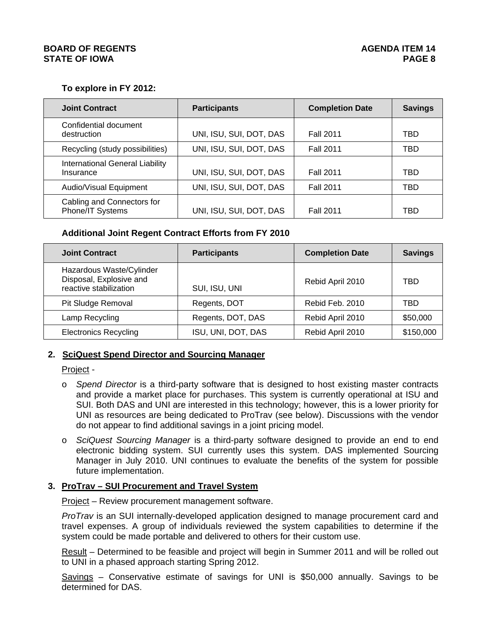# **To explore in FY 2012:**

| <b>Joint Contract</b>                               | <b>Participants</b>     | <b>Completion Date</b> | <b>Savings</b> |
|-----------------------------------------------------|-------------------------|------------------------|----------------|
| Confidential document<br>destruction                | UNI, ISU, SUI, DOT, DAS | <b>Fall 2011</b>       | TBD            |
| Recycling (study possibilities)                     | UNI, ISU, SUI, DOT, DAS | <b>Fall 2011</b>       | TBD            |
| <b>International General Liability</b><br>Insurance | UNI, ISU, SUI, DOT, DAS | <b>Fall 2011</b>       | TBD            |
| Audio/Visual Equipment                              | UNI, ISU, SUI, DOT, DAS | <b>Fall 2011</b>       | TBD            |
| Cabling and Connectors for<br>Phone/IT Systems      | UNI, ISU, SUI, DOT, DAS | <b>Fall 2011</b>       | TBD            |

# **Additional Joint Regent Contract Efforts from FY 2010**

| <b>Joint Contract</b>                                                         | <b>Participants</b> | <b>Completion Date</b> | <b>Savings</b> |
|-------------------------------------------------------------------------------|---------------------|------------------------|----------------|
| Hazardous Waste/Cylinder<br>Disposal, Explosive and<br>reactive stabilization | SUI, ISU, UNI       | Rebid April 2010       | TBD            |
| Pit Sludge Removal                                                            | Regents, DOT        | Rebid Feb. 2010        | TBD            |
| Lamp Recycling                                                                | Regents, DOT, DAS   | Rebid April 2010       | \$50,000       |
| <b>Electronics Recycling</b>                                                  | ISU, UNI, DOT, DAS  | Rebid April 2010       | \$150,000      |

# **2. SciQuest Spend Director and Sourcing Manager**

Project -

- o *Spend Director* is a third-party software that is designed to host existing master contracts and provide a market place for purchases. This system is currently operational at ISU and SUI. Both DAS and UNI are interested in this technology; however, this is a lower priority for UNI as resources are being dedicated to ProTrav (see below). Discussions with the vendor do not appear to find additional savings in a joint pricing model.
- o *SciQuest Sourcing Manager* is a third-party software designed to provide an end to end electronic bidding system. SUI currently uses this system. DAS implemented Sourcing Manager in July 2010. UNI continues to evaluate the benefits of the system for possible future implementation.

# **3. ProTrav – SUI Procurement and Travel System**

Project – Review procurement management software.

*ProTrav* is an SUI internally-developed application designed to manage procurement card and travel expenses. A group of individuals reviewed the system capabilities to determine if the system could be made portable and delivered to others for their custom use.

Result – Determined to be feasible and project will begin in Summer 2011 and will be rolled out to UNI in a phased approach starting Spring 2012.

Savings – Conservative estimate of savings for UNI is \$50,000 annually. Savings to be determined for DAS.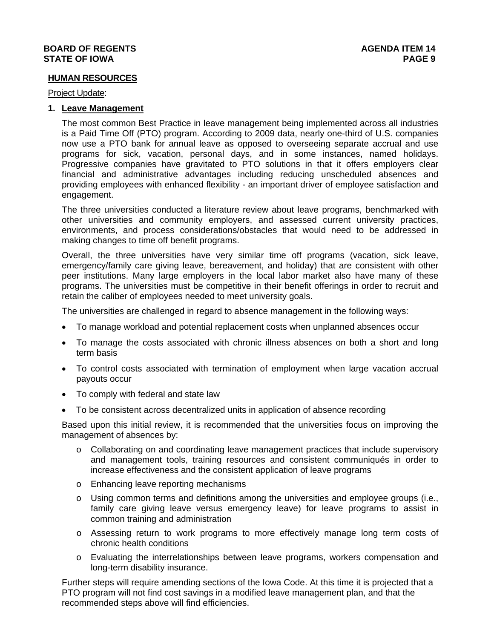### **HUMAN RESOURCES**

#### Project Update:

### **1. Leave Management**

The most common Best Practice in leave management being implemented across all industries is a Paid Time Off (PTO) program. According to 2009 data, nearly one-third of U.S. companies now use a PTO bank for annual leave as opposed to overseeing separate accrual and use programs for sick, vacation, personal days, and in some instances, named holidays. Progressive companies have gravitated to PTO solutions in that it offers employers clear financial and administrative advantages including reducing unscheduled absences and providing employees with enhanced flexibility - an important driver of employee satisfaction and engagement.

The three universities conducted a literature review about leave programs, benchmarked with other universities and community employers, and assessed current university practices, environments, and process considerations/obstacles that would need to be addressed in making changes to time off benefit programs.

Overall, the three universities have very similar time off programs (vacation, sick leave, emergency/family care giving leave, bereavement, and holiday) that are consistent with other peer institutions. Many large employers in the local labor market also have many of these programs. The universities must be competitive in their benefit offerings in order to recruit and retain the caliber of employees needed to meet university goals.

The universities are challenged in regard to absence management in the following ways:

- To manage workload and potential replacement costs when unplanned absences occur
- To manage the costs associated with chronic illness absences on both a short and long term basis
- To control costs associated with termination of employment when large vacation accrual payouts occur
- To comply with federal and state law
- To be consistent across decentralized units in application of absence recording

Based upon this initial review, it is recommended that the universities focus on improving the management of absences by:

- o Collaborating on and coordinating leave management practices that include supervisory and management tools, training resources and consistent communiqués in order to increase effectiveness and the consistent application of leave programs
- o Enhancing leave reporting mechanisms
- $\circ$  Using common terms and definitions among the universities and employee groups (i.e., family care giving leave versus emergency leave) for leave programs to assist in common training and administration
- o Assessing return to work programs to more effectively manage long term costs of chronic health conditions
- o Evaluating the interrelationships between leave programs, workers compensation and long-term disability insurance.

Further steps will require amending sections of the Iowa Code. At this time it is projected that a PTO program will not find cost savings in a modified leave management plan, and that the recommended steps above will find efficiencies.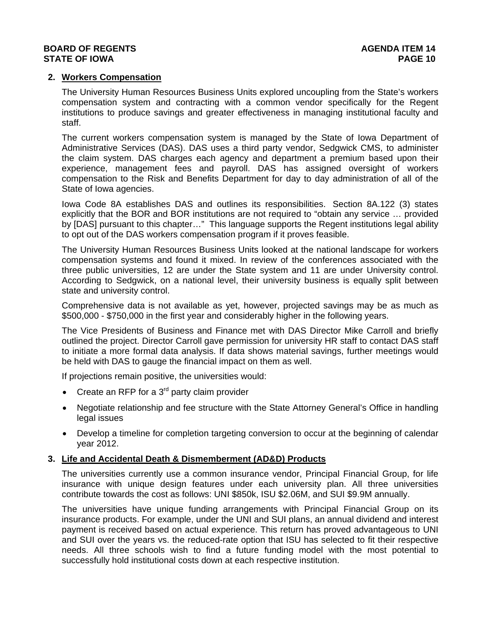### **2. Workers Compensation**

The University Human Resources Business Units explored uncoupling from the State's workers compensation system and contracting with a common vendor specifically for the Regent institutions to produce savings and greater effectiveness in managing institutional faculty and staff.

The current workers compensation system is managed by the State of Iowa Department of Administrative Services (DAS). DAS uses a third party vendor, Sedgwick CMS, to administer the claim system. DAS charges each agency and department a premium based upon their experience, management fees and payroll. DAS has assigned oversight of workers compensation to the Risk and Benefits Department for day to day administration of all of the State of Iowa agencies.

Iowa Code 8A establishes DAS and outlines its responsibilities. Section 8A.122 (3) states explicitly that the BOR and BOR institutions are not required to "obtain any service … provided by [DAS] pursuant to this chapter…" This language supports the Regent institutions legal ability to opt out of the DAS workers compensation program if it proves feasible.

The University Human Resources Business Units looked at the national landscape for workers compensation systems and found it mixed. In review of the conferences associated with the three public universities, 12 are under the State system and 11 are under University control. According to Sedgwick, on a national level, their university business is equally split between state and university control.

Comprehensive data is not available as yet, however, projected savings may be as much as \$500,000 - \$750,000 in the first year and considerably higher in the following years.

The Vice Presidents of Business and Finance met with DAS Director Mike Carroll and briefly outlined the project. Director Carroll gave permission for university HR staff to contact DAS staff to initiate a more formal data analysis. If data shows material savings, further meetings would be held with DAS to gauge the financial impact on them as well.

If projections remain positive, the universities would:

- Create an RFP for a  $3<sup>rd</sup>$  party claim provider
- Negotiate relationship and fee structure with the State Attorney General's Office in handling legal issues
- Develop a timeline for completion targeting conversion to occur at the beginning of calendar year 2012.

### **3. Life and Accidental Death & Dismemberment (AD&D) Products**

The universities currently use a common insurance vendor, Principal Financial Group, for life insurance with unique design features under each university plan. All three universities contribute towards the cost as follows: UNI \$850k, ISU \$2.06M, and SUI \$9.9M annually.

The universities have unique funding arrangements with Principal Financial Group on its insurance products. For example, under the UNI and SUI plans, an annual dividend and interest payment is received based on actual experience. This return has proved advantageous to UNI and SUI over the years vs. the reduced-rate option that ISU has selected to fit their respective needs. All three schools wish to find a future funding model with the most potential to successfully hold institutional costs down at each respective institution.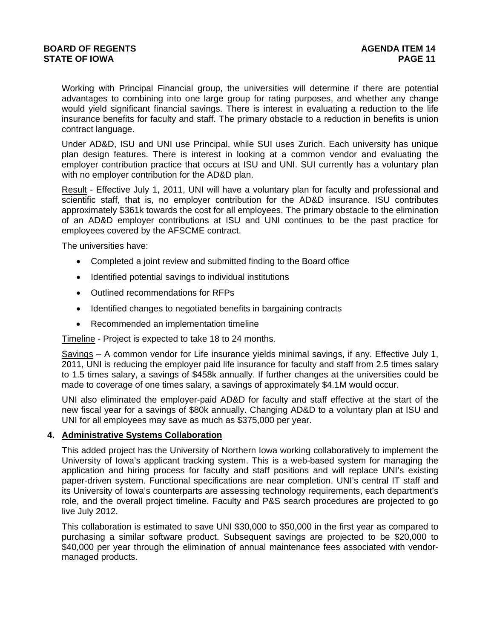Working with Principal Financial group, the universities will determine if there are potential advantages to combining into one large group for rating purposes, and whether any change would yield significant financial savings. There is interest in evaluating a reduction to the life insurance benefits for faculty and staff. The primary obstacle to a reduction in benefits is union contract language.

Under AD&D, ISU and UNI use Principal, while SUI uses Zurich. Each university has unique plan design features. There is interest in looking at a common vendor and evaluating the employer contribution practice that occurs at ISU and UNI. SUI currently has a voluntary plan with no employer contribution for the AD&D plan.

Result - Effective July 1, 2011, UNI will have a voluntary plan for faculty and professional and scientific staff, that is, no employer contribution for the AD&D insurance. ISU contributes approximately \$361k towards the cost for all employees. The primary obstacle to the elimination of an AD&D employer contributions at ISU and UNI continues to be the past practice for employees covered by the AFSCME contract.

The universities have:

- Completed a joint review and submitted finding to the Board office
- Identified potential savings to individual institutions
- Outlined recommendations for RFPs
- Identified changes to negotiated benefits in bargaining contracts
- Recommended an implementation timeline

Timeline - Project is expected to take 18 to 24 months.

Savings – A common vendor for Life insurance yields minimal savings, if any. Effective July 1, 2011, UNI is reducing the employer paid life insurance for faculty and staff from 2.5 times salary to 1.5 times salary, a savings of \$458k annually. If further changes at the universities could be made to coverage of one times salary, a savings of approximately \$4.1M would occur.

UNI also eliminated the employer-paid AD&D for faculty and staff effective at the start of the new fiscal year for a savings of \$80k annually. Changing AD&D to a voluntary plan at ISU and UNI for all employees may save as much as \$375,000 per year.

### **4. Administrative Systems Collaboration**

This added project has the University of Northern Iowa working collaboratively to implement the University of Iowa's applicant tracking system. This is a web-based system for managing the application and hiring process for faculty and staff positions and will replace UNI's existing paper-driven system. Functional specifications are near completion. UNI's central IT staff and its University of Iowa's counterparts are assessing technology requirements, each department's role, and the overall project timeline. Faculty and P&S search procedures are projected to go live July 2012.

This collaboration is estimated to save UNI \$30,000 to \$50,000 in the first year as compared to purchasing a similar software product. Subsequent savings are projected to be \$20,000 to \$40,000 per year through the elimination of annual maintenance fees associated with vendormanaged products.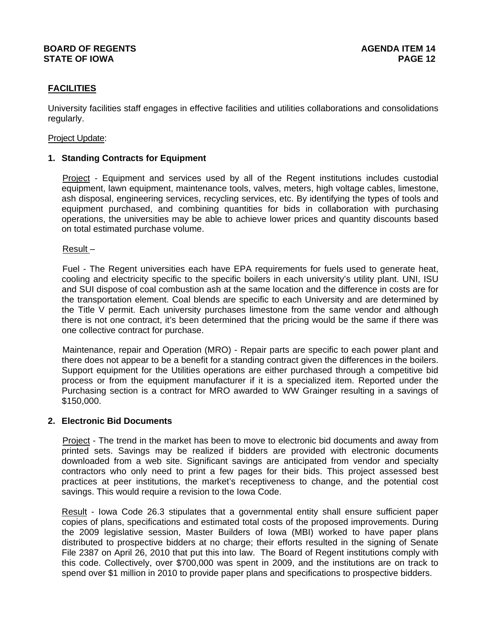# **FACILITIES**

University facilities staff engages in effective facilities and utilities collaborations and consolidations regularly.

#### Project Update:

### **1. Standing Contracts for Equipment**

Project - Equipment and services used by all of the Regent institutions includes custodial equipment, lawn equipment, maintenance tools, valves, meters, high voltage cables, limestone, ash disposal, engineering services, recycling services, etc. By identifying the types of tools and equipment purchased, and combining quantities for bids in collaboration with purchasing operations, the universities may be able to achieve lower prices and quantity discounts based on total estimated purchase volume.

Result –

Fuel - The Regent universities each have EPA requirements for fuels used to generate heat, cooling and electricity specific to the specific boilers in each university's utility plant. UNI, ISU and SUI dispose of coal combustion ash at the same location and the difference in costs are for the transportation element. Coal blends are specific to each University and are determined by the Title V permit. Each university purchases limestone from the same vendor and although there is not one contract, it's been determined that the pricing would be the same if there was one collective contract for purchase.

Maintenance, repair and Operation (MRO) - Repair parts are specific to each power plant and there does not appear to be a benefit for a standing contract given the differences in the boilers. Support equipment for the Utilities operations are either purchased through a competitive bid process or from the equipment manufacturer if it is a specialized item. Reported under the Purchasing section is a contract for MRO awarded to WW Grainger resulting in a savings of \$150,000.

#### **2. Electronic Bid Documents**

Project - The trend in the market has been to move to electronic bid documents and away from printed sets. Savings may be realized if bidders are provided with electronic documents downloaded from a web site. Significant savings are anticipated from vendor and specialty contractors who only need to print a few pages for their bids. This project assessed best practices at peer institutions, the market's receptiveness to change, and the potential cost savings. This would require a revision to the Iowa Code.

Result - Iowa Code 26.3 stipulates that a governmental entity shall ensure sufficient paper copies of plans, specifications and estimated total costs of the proposed improvements. During the 2009 legislative session, Master Builders of Iowa (MBI) worked to have paper plans distributed to prospective bidders at no charge; their efforts resulted in the signing of Senate File 2387 on April 26, 2010 that put this into law. The Board of Regent institutions comply with this code. Collectively, over \$700,000 was spent in 2009, and the institutions are on track to spend over \$1 million in 2010 to provide paper plans and specifications to prospective bidders.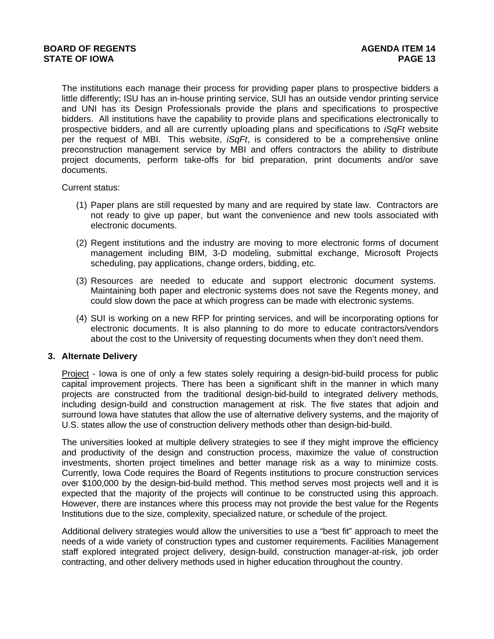The institutions each manage their process for providing paper plans to prospective bidders a little differently; ISU has an in-house printing service, SUI has an outside vendor printing service and UNI has its Design Professionals provide the plans and specifications to prospective bidders. All institutions have the capability to provide plans and specifications electronically to prospective bidders, and all are currently uploading plans and specifications to *iSqFt* website per the request of MBI. This website, *iSqFt*, is considered to be a comprehensive online preconstruction management service by MBI and offers contractors the ability to distribute project documents, perform take-offs for bid preparation, print documents and/or save documents.

Current status:

- (1) Paper plans are still requested by many and are required by state law. Contractors are not ready to give up paper, but want the convenience and new tools associated with electronic documents.
- (2) Regent institutions and the industry are moving to more electronic forms of document management including BIM, 3-D modeling, submittal exchange, Microsoft Projects scheduling, pay applications, change orders, bidding, etc.
- (3) Resources are needed to educate and support electronic document systems. Maintaining both paper and electronic systems does not save the Regents money, and could slow down the pace at which progress can be made with electronic systems.
- (4) SUI is working on a new RFP for printing services, and will be incorporating options for electronic documents. It is also planning to do more to educate contractors/vendors about the cost to the University of requesting documents when they don't need them.

### **3. Alternate Delivery**

Project - Iowa is one of only a few states solely requiring a design-bid-build process for public capital improvement projects. There has been a significant shift in the manner in which many projects are constructed from the traditional design-bid-build to integrated delivery methods, including design-build and construction management at risk. The five states that adjoin and surround Iowa have statutes that allow the use of alternative delivery systems, and the majority of U.S. states allow the use of construction delivery methods other than design-bid-build.

The universities looked at multiple delivery strategies to see if they might improve the efficiency and productivity of the design and construction process, maximize the value of construction investments, shorten project timelines and better manage risk as a way to minimize costs. Currently, Iowa Code requires the Board of Regents institutions to procure construction services over \$100,000 by the design-bid-build method. This method serves most projects well and it is expected that the majority of the projects will continue to be constructed using this approach. However, there are instances where this process may not provide the best value for the Regents Institutions due to the size, complexity, specialized nature, or schedule of the project.

Additional delivery strategies would allow the universities to use a "best fit" approach to meet the needs of a wide variety of construction types and customer requirements. Facilities Management staff explored integrated project delivery, design-build, construction manager-at-risk, job order contracting, and other delivery methods used in higher education throughout the country.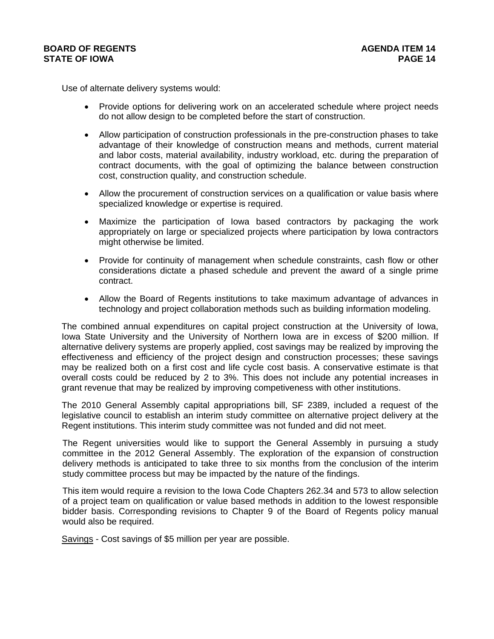Use of alternate delivery systems would:

- Provide options for delivering work on an accelerated schedule where project needs do not allow design to be completed before the start of construction.
- Allow participation of construction professionals in the pre-construction phases to take advantage of their knowledge of construction means and methods, current material and labor costs, material availability, industry workload, etc. during the preparation of contract documents, with the goal of optimizing the balance between construction cost, construction quality, and construction schedule.
- Allow the procurement of construction services on a qualification or value basis where specialized knowledge or expertise is required.
- Maximize the participation of Iowa based contractors by packaging the work appropriately on large or specialized projects where participation by Iowa contractors might otherwise be limited.
- Provide for continuity of management when schedule constraints, cash flow or other considerations dictate a phased schedule and prevent the award of a single prime contract.
- Allow the Board of Regents institutions to take maximum advantage of advances in technology and project collaboration methods such as building information modeling.

The combined annual expenditures on capital project construction at the University of Iowa, Iowa State University and the University of Northern Iowa are in excess of \$200 million. If alternative delivery systems are properly applied, cost savings may be realized by improving the effectiveness and efficiency of the project design and construction processes; these savings may be realized both on a first cost and life cycle cost basis. A conservative estimate is that overall costs could be reduced by 2 to 3%. This does not include any potential increases in grant revenue that may be realized by improving competiveness with other institutions.

The 2010 General Assembly capital appropriations bill, SF 2389, included a request of the legislative council to establish an interim study committee on alternative project delivery at the Regent institutions. This interim study committee was not funded and did not meet.

The Regent universities would like to support the General Assembly in pursuing a study committee in the 2012 General Assembly. The exploration of the expansion of construction delivery methods is anticipated to take three to six months from the conclusion of the interim study committee process but may be impacted by the nature of the findings.

This item would require a revision to the Iowa Code Chapters 262.34 and 573 to allow selection of a project team on qualification or value based methods in addition to the lowest responsible bidder basis. Corresponding revisions to Chapter 9 of the Board of Regents policy manual would also be required.

Savings - Cost savings of \$5 million per year are possible.